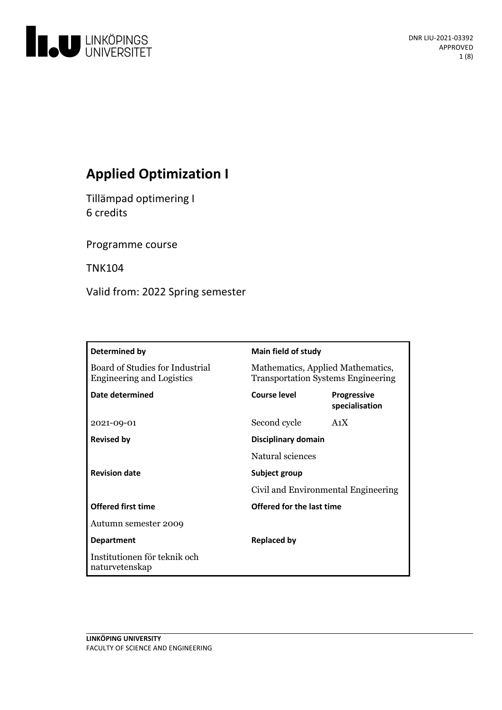

# **Applied Optimization I**

Tillämpad optimering I 6 credits

Programme course

TNK104

Valid from: 2022 Spring semester

| Determined by                                                       | <b>Main field of study</b>                                                     |                                      |
|---------------------------------------------------------------------|--------------------------------------------------------------------------------|--------------------------------------|
| Board of Studies for Industrial<br><b>Engineering and Logistics</b> | Mathematics, Applied Mathematics,<br><b>Transportation Systems Engineering</b> |                                      |
| Date determined                                                     | Course level                                                                   | <b>Progressive</b><br>specialisation |
| 2021-09-01                                                          | Second cycle                                                                   | A <sub>1</sub> X                     |
| <b>Revised by</b>                                                   | Disciplinary domain                                                            |                                      |
|                                                                     | Natural sciences                                                               |                                      |
| <b>Revision date</b>                                                | Subject group                                                                  |                                      |
|                                                                     | Civil and Environmental Engineering                                            |                                      |
| <b>Offered first time</b>                                           | Offered for the last time                                                      |                                      |
| Autumn semester 2009                                                |                                                                                |                                      |
| <b>Department</b>                                                   | <b>Replaced by</b>                                                             |                                      |
| Institutionen för teknik och<br>naturvetenskap                      |                                                                                |                                      |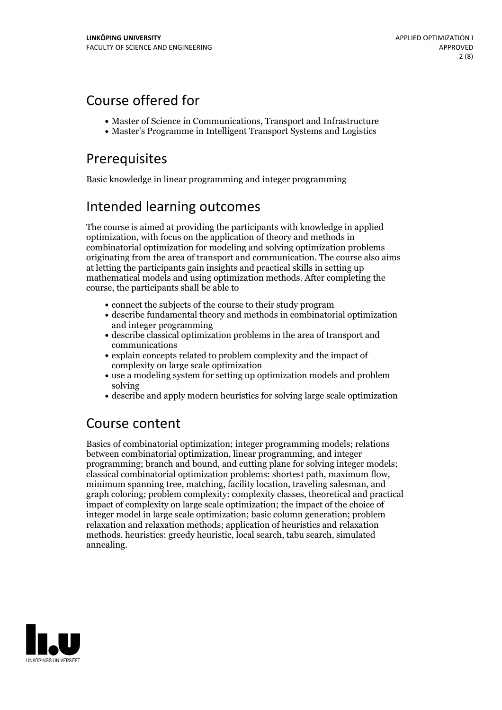# Course offered for

- Master of Science in Communications, Transport and Infrastructure
- Master's Programme in Intelligent Transport Systems and Logistics

# Prerequisites

Basic knowledge in linear programming and integer programming

# Intended learning outcomes

The course is aimed at providing the participants with knowledge in applied optimization, with focus on the application of theory and methods in combinatorial optimization for modeling and solving optimization problems originating from the area of transport and communication. The course also aims at letting the participants gain insights and practical skills in setting up mathematical models and using optimization methods. After completing the course, the participants shall be able to

- connect the subjects of the course to their study program
- describe fundamental theory and methods in combinatorial optimization and integer programming
- describe classical optimization problems in the area of transport and communications
- explain concepts related to problem complexity and the impact of complexity on large scale optimization
- use a modeling system for setting up optimization models and problem solving
- describe and apply modern heuristics for solving large scale optimization

## Course content

Basics of combinatorial optimization; integer programming models; relations between combinatorial optimization, linear programming, and integer programming; branch and bound, and cutting plane for solving integer models; classical combinatorial optimization problems: shortest path, maximum flow, minimum spanning tree, matching, facility location, traveling salesman, and graph coloring; problem complexity: complexity classes, theoretical and practical impact of complexity on large scale optimization; the impact of the choice of integer model in large scale optimization; basic column generation; problem relaxation and relaxation methods; application of heuristics and relaxation methods. heuristics: greedy heuristic, local search, tabu search, simulated annealing.

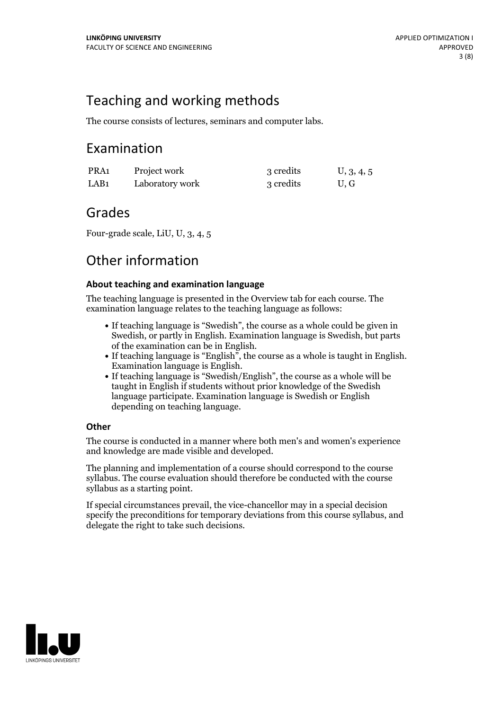## Teaching and working methods

The course consists of lectures, seminars and computer labs.

## Examination

| PRA1 | Project work    | 3 credits | U, 3, 4, 5 |
|------|-----------------|-----------|------------|
| LAB1 | Laboratory work | 3 credits | U, G       |

## Grades

Four-grade scale, LiU, U, 3, 4, 5

## Other information

### **About teaching and examination language**

The teaching language is presented in the Overview tab for each course. The examination language relates to the teaching language as follows:

- If teaching language is "Swedish", the course as a whole could be given in Swedish, or partly in English. Examination language is Swedish, but parts
- of the examination can be in English. If teaching language is "English", the course as <sup>a</sup> whole is taught in English. Examination language is English. If teaching language is "Swedish/English", the course as <sup>a</sup> whole will be
- taught in English if students without prior knowledge of the Swedish language participate. Examination language is Swedish or English depending on teaching language.

### **Other**

The course is conducted in a manner where both men's and women's experience and knowledge are made visible and developed.

The planning and implementation of a course should correspond to the course syllabus. The course evaluation should therefore be conducted with the course syllabus as a starting point.

If special circumstances prevail, the vice-chancellor may in a special decision specify the preconditions for temporary deviations from this course syllabus, and delegate the right to take such decisions.

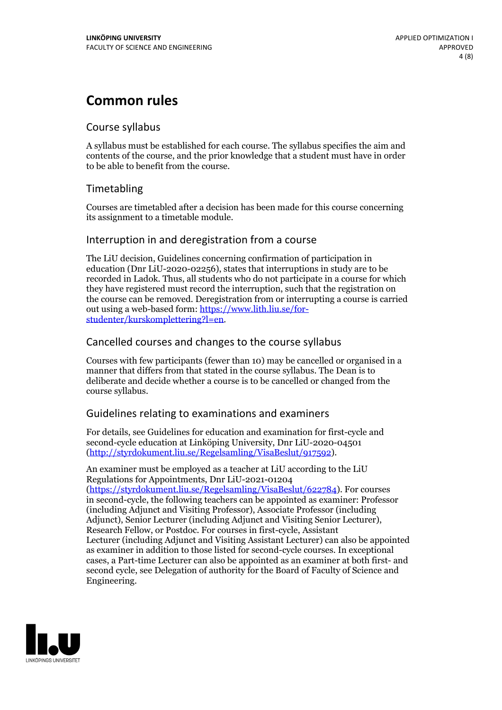## **Common rules**

### Course syllabus

A syllabus must be established for each course. The syllabus specifies the aim and contents of the course, and the prior knowledge that a student must have in order to be able to benefit from the course.

## Timetabling

Courses are timetabled after a decision has been made for this course concerning its assignment to a timetable module.

### Interruption in and deregistration from a course

The LiU decision, Guidelines concerning confirmation of participation in education (Dnr LiU-2020-02256), states that interruptions in study are to be recorded in Ladok. Thus, all students who do not participate in a course for which they have registered must record the interruption, such that the registration on the course can be removed. Deregistration from or interrupting a course is carried out using <sup>a</sup> web-based form: https://www.lith.liu.se/for- [studenter/kurskomplettering?l=en.](https://www.lith.liu.se/for-studenter/kurskomplettering?l=en)

## Cancelled courses and changes to the course syllabus

Courses with few participants (fewer than 10) may be cancelled or organised in a manner that differs from that stated in the course syllabus. The Dean is to deliberate and decide whether a course is to be cancelled or changed from the course syllabus.

## Guidelines relating to examinations and examiners

For details, see Guidelines for education and examination for first-cycle and second-cycle education at Linköping University, Dnr LiU-2020-04501 [\(http://styrdokument.liu.se/Regelsamling/VisaBeslut/917592\)](http://styrdokument.liu.se/Regelsamling/VisaBeslut/917592).

An examiner must be employed as a teacher at LiU according to the LiU Regulations for Appointments, Dnr LiU-2021-01204 [\(https://styrdokument.liu.se/Regelsamling/VisaBeslut/622784](https://styrdokument.liu.se/Regelsamling/VisaBeslut/622784)). For courses in second-cycle, the following teachers can be appointed as examiner: Professor (including Adjunct and Visiting Professor), Associate Professor (including Adjunct), Senior Lecturer (including Adjunct and Visiting Senior Lecturer), Research Fellow, or Postdoc. For courses in first-cycle, Assistant Lecturer (including Adjunct and Visiting Assistant Lecturer) can also be appointed as examiner in addition to those listed for second-cycle courses. In exceptional cases, a Part-time Lecturer can also be appointed as an examiner at both first- and second cycle, see Delegation of authority for the Board of Faculty of Science and Engineering.

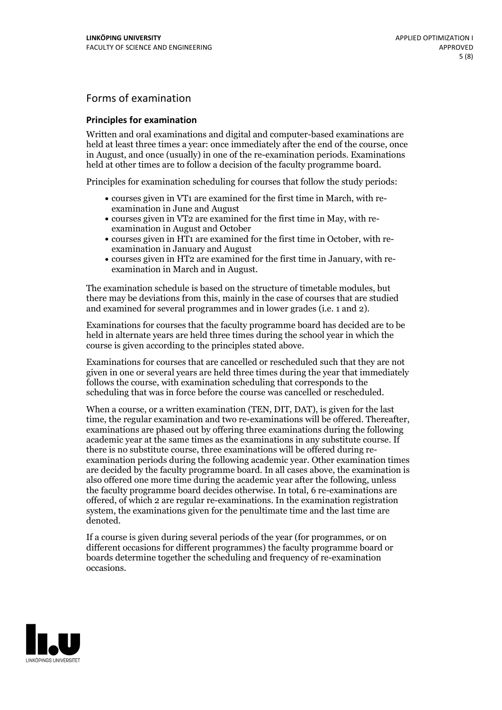## Forms of examination

#### **Principles for examination**

Written and oral examinations and digital and computer-based examinations are held at least three times a year: once immediately after the end of the course, once in August, and once (usually) in one of the re-examination periods. Examinations held at other times are to follow a decision of the faculty programme board.

Principles for examination scheduling for courses that follow the study periods:

- courses given in VT1 are examined for the first time in March, with re-examination in June and August
- courses given in VT2 are examined for the first time in May, with re-examination in August and October
- courses given in HT1 are examined for the first time in October, with re-examination in January and August
- courses given in HT2 are examined for the first time in January, with re-examination in March and in August.

The examination schedule is based on the structure of timetable modules, but there may be deviations from this, mainly in the case of courses that are studied and examined for several programmes and in lower grades (i.e. 1 and 2).

Examinations for courses that the faculty programme board has decided are to be held in alternate years are held three times during the school year in which the course is given according to the principles stated above.

Examinations for courses that are cancelled orrescheduled such that they are not given in one or several years are held three times during the year that immediately follows the course, with examination scheduling that corresponds to the scheduling that was in force before the course was cancelled or rescheduled.

When a course, or a written examination (TEN, DIT, DAT), is given for the last time, the regular examination and two re-examinations will be offered. Thereafter, examinations are phased out by offering three examinations during the following academic year at the same times as the examinations in any substitute course. If there is no substitute course, three examinations will be offered during re- examination periods during the following academic year. Other examination times are decided by the faculty programme board. In all cases above, the examination is also offered one more time during the academic year after the following, unless the faculty programme board decides otherwise. In total, 6 re-examinations are offered, of which 2 are regular re-examinations. In the examination registration system, the examinations given for the penultimate time and the last time are denoted.

If a course is given during several periods of the year (for programmes, or on different occasions for different programmes) the faculty programme board or boards determine together the scheduling and frequency of re-examination occasions.

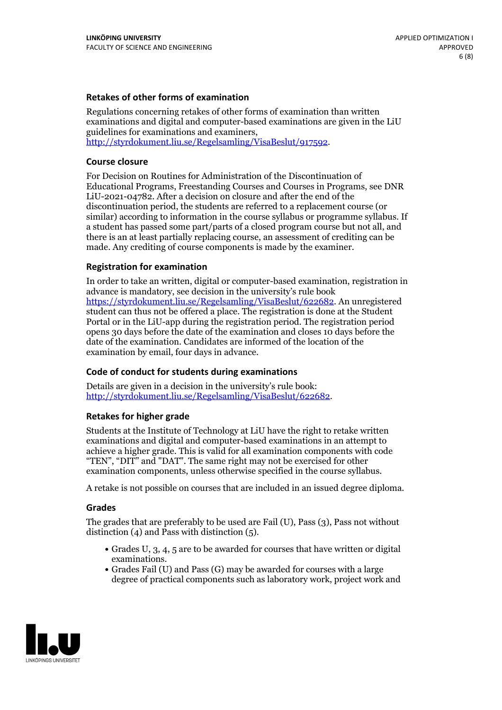#### **Retakes of other forms of examination**

Regulations concerning retakes of other forms of examination than written examinations and digital and computer-based examinations are given in the LiU guidelines for examinations and examiners, [http://styrdokument.liu.se/Regelsamling/VisaBeslut/917592.](http://styrdokument.liu.se/Regelsamling/VisaBeslut/917592)

#### **Course closure**

For Decision on Routines for Administration of the Discontinuation of Educational Programs, Freestanding Courses and Courses in Programs, see DNR LiU-2021-04782. After a decision on closure and after the end of the discontinuation period, the students are referred to a replacement course (or similar) according to information in the course syllabus or programme syllabus. If a student has passed some part/parts of a closed program course but not all, and there is an at least partially replacing course, an assessment of crediting can be made. Any crediting of course components is made by the examiner.

#### **Registration for examination**

In order to take an written, digital or computer-based examination, registration in advance is mandatory, see decision in the university's rule book [https://styrdokument.liu.se/Regelsamling/VisaBeslut/622682.](https://styrdokument.liu.se/Regelsamling/VisaBeslut/622682) An unregistered student can thus not be offered a place. The registration is done at the Student Portal or in the LiU-app during the registration period. The registration period opens 30 days before the date of the examination and closes 10 days before the date of the examination. Candidates are informed of the location of the examination by email, four days in advance.

#### **Code of conduct for students during examinations**

Details are given in a decision in the university's rule book: <http://styrdokument.liu.se/Regelsamling/VisaBeslut/622682>.

#### **Retakes for higher grade**

Students at the Institute of Technology at LiU have the right to retake written examinations and digital and computer-based examinations in an attempt to achieve a higher grade. This is valid for all examination components with code "TEN", "DIT" and "DAT". The same right may not be exercised for other examination components, unless otherwise specified in the course syllabus.

A retake is not possible on courses that are included in an issued degree diploma.

#### **Grades**

The grades that are preferably to be used are Fail (U), Pass (3), Pass not without distinction  $(4)$  and Pass with distinction  $(5)$ .

- Grades U, 3, 4, 5 are to be awarded for courses that have written or digital examinations.<br>• Grades Fail (U) and Pass (G) may be awarded for courses with a large
- degree of practical components such as laboratory work, project work and

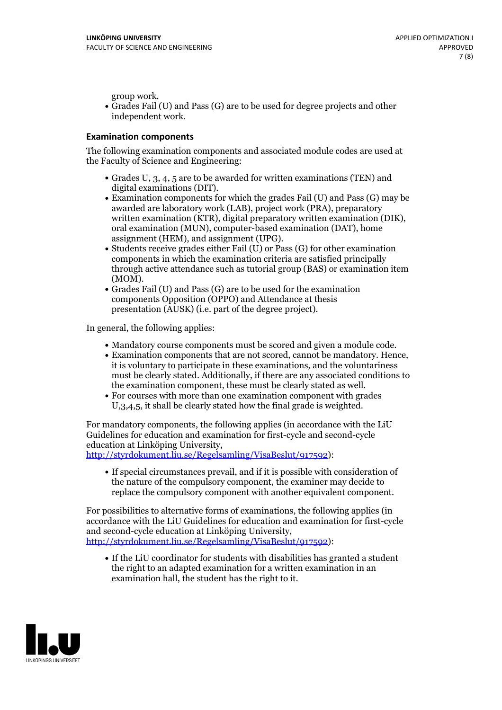group work.<br>• Grades Fail (U) and Pass (G) are to be used for degree projects and other independent work.

#### **Examination components**

The following examination components and associated module codes are used at the Faculty of Science and Engineering:

- Grades U, 3, 4, 5 are to be awarded for written examinations (TEN) and
- digital examinations (DIT).<br>• Examination components for which the grades Fail (U) and Pass (G) may be awarded are laboratory work (LAB), project work (PRA), preparatory written examination (KTR), digital preparatory written examination (DIK), oral examination (MUN), computer-based examination (DAT), home
- assignment (HEM), and assignment (UPG).<br>• Students receive grades either Fail (U) or Pass (G) for other examination components in which the examination criteria are satisfied principally through active attendance such as tutorial group (BAS) or examination item
- (MOM).<br>• Grades Fail (U) and Pass (G) are to be used for the examination components Opposition (OPPO) and Attendance at thesis presentation (AUSK) (i.e. part of the degree project).

In general, the following applies:

- 
- Mandatory course components must be scored and given <sup>a</sup> module code. Examination components that are not scored, cannot be mandatory. Hence, it is voluntary to participate in these examinations, and the voluntariness must be clearly stated. Additionally, if there are any associated conditions to
- the examination component, these must be clearly stated as well.<br>• For courses with more than one examination component with grades U,3,4,5, it shall be clearly stated how the final grade is weighted.

For mandatory components, the following applies (in accordance with the LiU Guidelines for education and examination for first-cycle and second-cycle education at Linköping University,<br>[http://styrdokument.liu.se/Regelsamling/VisaBeslut/917592\)](http://styrdokument.liu.se/Regelsamling/VisaBeslut/917592):

If special circumstances prevail, and if it is possible with consideration of the nature of the compulsory component, the examiner may decide to replace the compulsory component with another equivalent component.

For possibilities to alternative forms of examinations, the following applies (in accordance with the LiU Guidelines for education and examination for first-cycle [http://styrdokument.liu.se/Regelsamling/VisaBeslut/917592\)](http://styrdokument.liu.se/Regelsamling/VisaBeslut/917592):

If the LiU coordinator for students with disabilities has granted a student the right to an adapted examination for a written examination in an examination hall, the student has the right to it.